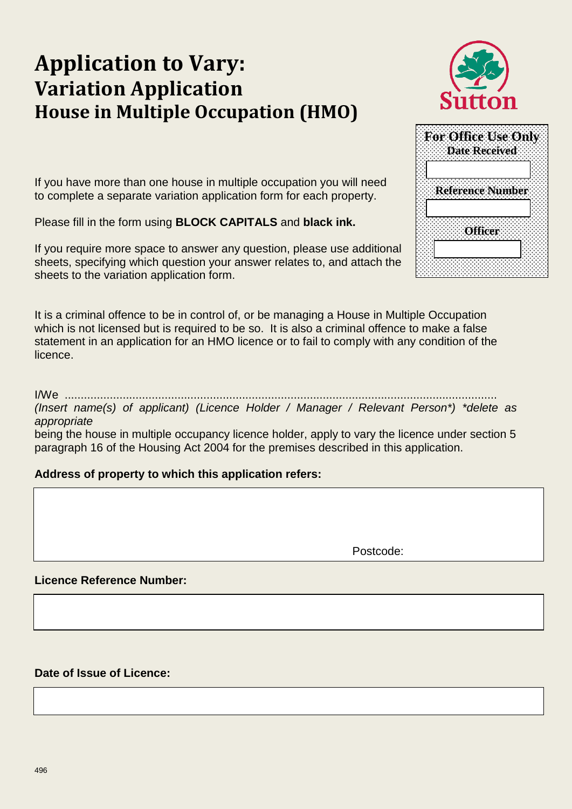# **Application to Vary: Variation Application House in Multiple Occupation (HMO)**



|                         |               |                | For Office Use Only |  |
|-------------------------|---------------|----------------|---------------------|--|
|                         | Date Received |                |                     |  |
|                         |               |                |                     |  |
|                         |               |                |                     |  |
|                         |               |                |                     |  |
| <b>Reference Number</b> |               |                |                     |  |
|                         |               |                |                     |  |
|                         |               |                |                     |  |
|                         |               |                |                     |  |
|                         |               | <b>Officer</b> |                     |  |
|                         |               |                |                     |  |
|                         |               |                |                     |  |
|                         |               |                |                     |  |

If you have more than one house in multiple occupation you will need to complete a separate variation application form for each property.

Please fill in the form using **BLOCK CAPITALS** and **black ink.**

If you require more space to answer any question, please use additional sheets, specifying which question your answer relates to, and attach the sheets to the variation application form.

It is a criminal offence to be in control of, or be managing a House in Multiple Occupation which is not licensed but is required to be so. It is also a criminal offence to make a false statement in an application for an HMO licence or to fail to comply with any condition of the licence.

# I/We ......................................................................................................................................

*(Insert name(s) of applicant) (Licence Holder / Manager / Relevant Person\*) \*delete as appropriate*

being the house in multiple occupancy licence holder, apply to vary the licence under section 5 paragraph 16 of the Housing Act 2004 for the premises described in this application.

# **Address of property to which this application refers:**

Postcode:

# **Licence Reference Number:**

# **Date of Issue of Licence:**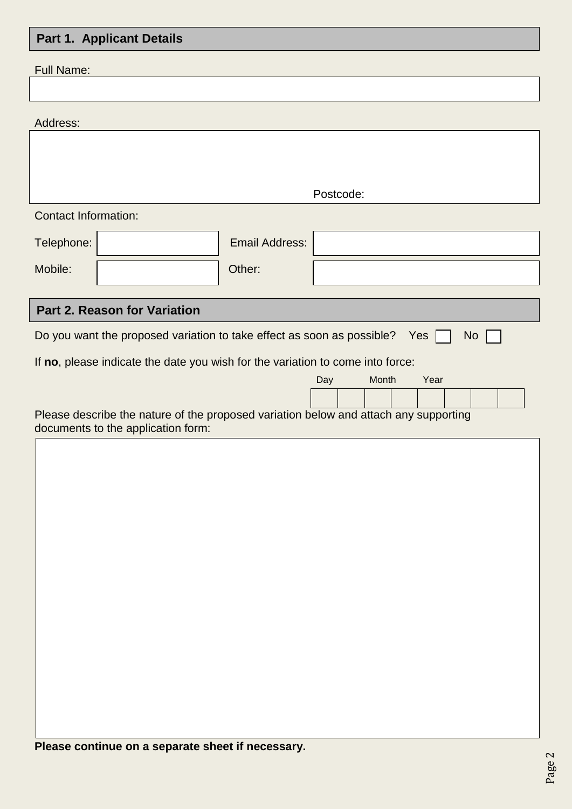#### **Part 1 Annlicant Details**

| r art in Applicant Dotailo                                                                                                 |                              |                       |                      |  |  |  |  |  |
|----------------------------------------------------------------------------------------------------------------------------|------------------------------|-----------------------|----------------------|--|--|--|--|--|
| <b>Full Name:</b>                                                                                                          |                              |                       |                      |  |  |  |  |  |
|                                                                                                                            |                              |                       |                      |  |  |  |  |  |
| Address:                                                                                                                   |                              |                       |                      |  |  |  |  |  |
|                                                                                                                            |                              |                       |                      |  |  |  |  |  |
|                                                                                                                            |                              |                       |                      |  |  |  |  |  |
|                                                                                                                            |                              |                       | Postcode:            |  |  |  |  |  |
| <b>Contact Information:</b>                                                                                                |                              |                       |                      |  |  |  |  |  |
| Telephone:                                                                                                                 |                              | <b>Email Address:</b> |                      |  |  |  |  |  |
| Mobile:                                                                                                                    |                              | Other:                |                      |  |  |  |  |  |
|                                                                                                                            |                              |                       |                      |  |  |  |  |  |
|                                                                                                                            | Part 2. Reason for Variation |                       |                      |  |  |  |  |  |
| Do you want the proposed variation to take effect as soon as possible?<br>Yes<br><b>No</b>                                 |                              |                       |                      |  |  |  |  |  |
| If no, please indicate the date you wish for the variation to come into force:                                             |                              |                       |                      |  |  |  |  |  |
|                                                                                                                            |                              |                       | Month<br>Year<br>Day |  |  |  |  |  |
|                                                                                                                            |                              |                       |                      |  |  |  |  |  |
| Please describe the nature of the proposed variation below and attach any supporting<br>documents to the application form: |                              |                       |                      |  |  |  |  |  |
|                                                                                                                            |                              |                       |                      |  |  |  |  |  |
|                                                                                                                            |                              |                       |                      |  |  |  |  |  |
|                                                                                                                            |                              |                       |                      |  |  |  |  |  |
|                                                                                                                            |                              |                       |                      |  |  |  |  |  |
|                                                                                                                            |                              |                       |                      |  |  |  |  |  |
|                                                                                                                            |                              |                       |                      |  |  |  |  |  |
|                                                                                                                            |                              |                       |                      |  |  |  |  |  |
|                                                                                                                            |                              |                       |                      |  |  |  |  |  |
|                                                                                                                            |                              |                       |                      |  |  |  |  |  |
|                                                                                                                            |                              |                       |                      |  |  |  |  |  |
|                                                                                                                            |                              |                       |                      |  |  |  |  |  |
|                                                                                                                            |                              |                       |                      |  |  |  |  |  |
|                                                                                                                            |                              |                       |                      |  |  |  |  |  |